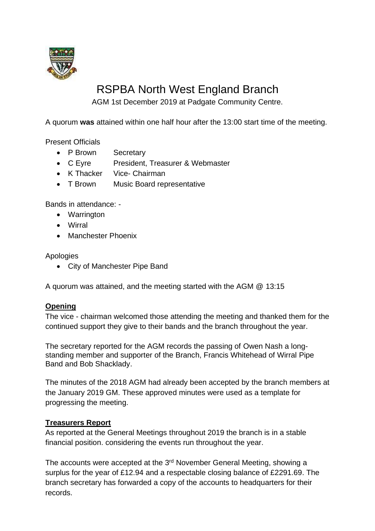

# RSPBA North West England Branch

AGM 1st December 2019 at Padgate Community Centre.

A quorum **was** attained within one half hour after the 13:00 start time of the meeting.

Present Officials

- P Brown Secretary
- C Eyre President, Treasurer & Webmaster
- K Thacker Vice- Chairman
- T Brown Music Board representative

Bands in attendance: -

- Warrington
- Wirral
- Manchester Phoenix

Apologies

• City of Manchester Pipe Band

A quorum was attained, and the meeting started with the AGM @ 13:15

# **Opening**

The vice - chairman welcomed those attending the meeting and thanked them for the continued support they give to their bands and the branch throughout the year.

The secretary reported for the AGM records the passing of Owen Nash a longstanding member and supporter of the Branch, Francis Whitehead of Wirral Pipe Band and Bob Shacklady.

The minutes of the 2018 AGM had already been accepted by the branch members at the January 2019 GM. These approved minutes were used as a template for progressing the meeting.

# **Treasurers Report**

As reported at the General Meetings throughout 2019 the branch is in a stable financial position. considering the events run throughout the year.

The accounts were accepted at the 3<sup>rd</sup> November General Meeting, showing a surplus for the year of £12.94 and a respectable closing balance of £2291.69. The branch secretary has forwarded a copy of the accounts to headquarters for their records.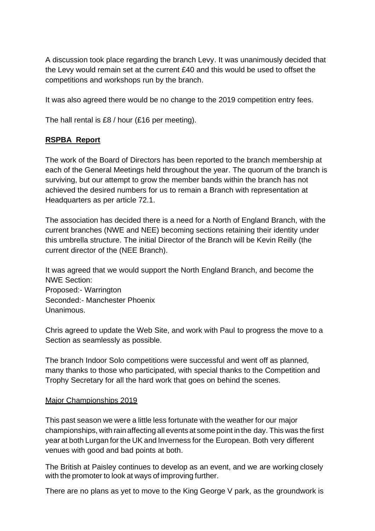A discussion took place regarding the branch Levy. It was unanimously decided that the Levy would remain set at the current £40 and this would be used to offset the competitions and workshops run by the branch.

It was also agreed there would be no change to the 2019 competition entry fees.

The hall rental is £8 / hour (£16 per meeting).

# **RSPBA Report**

The work of the Board of Directors has been reported to the branch membership at each of the General Meetings held throughout the year. The quorum of the branch is surviving, but our attempt to grow the member bands within the branch has not achieved the desired numbers for us to remain a Branch with representation at Headquarters as per article 72.1.

The association has decided there is a need for a North of England Branch, with the current branches (NWE and NEE) becoming sections retaining their identity under this umbrella structure. The initial Director of the Branch will be Kevin Reilly (the current director of the (NEE Branch).

It was agreed that we would support the North England Branch, and become the NWE Section: Proposed:- Warrington Seconded:- Manchester Phoenix **Unanimous** 

Chris agreed to update the Web Site, and work with Paul to progress the move to a Section as seamlessly as possible.

The branch Indoor Solo competitions were successful and went off as planned, many thanks to those who participated, with special thanks to the Competition and Trophy Secretary for all the hard work that goes on behind the scenes.

## Major Championships 2019

This past season we were a little less fortunate with the weather for our major championships, with rain affecting all events at some point in the day. This was the first year at both Lurgan for the UK and Inverness for the European. Both very different venues with good and bad points at both.

The British at Paisley continues to develop as an event, and we are working closely with the promoter to look at ways of improving further.

There are no plans as yet to move to the King George V park, as the groundwork is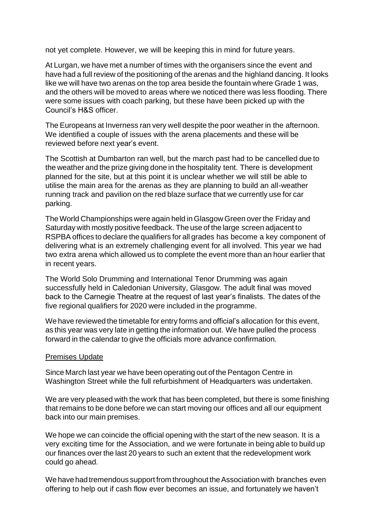not yet complete. However, we will be keeping this in mind for future years.

At Lurgan, we have met a number of times with the organisers since the event and have had a full review of the positioning of the arenas and the highland dancing. It looks like we will have two arenas on the top area beside the fountain where Grade 1 was, and the others will be moved to areas where we noticed there was less flooding. There were some issues with coach parking, but these have been picked up with the Council's H&S officer.

The Europeans at Inverness ran very well despite the poor weather in the afternoon. We identified a couple of issues with the arena placements and these will be reviewed before next year's event.

The Scottish at Dumbarton ran well, but the march past had to be cancelled due to the weather and the prize giving done in the hospitality tent. There is development planned for the site, but at this point it is unclear whether we will still be able to utilise the main area for the arenas as they are planning to build an all-weather running track and pavilion on the red blaze surface that we currently use for car parking.

The World Championships were again held in Glasgow Green over the Friday and Saturday with mostly positive feedback. The use of the large screen adjacent to RSPBA offices to declare the qualifiers for all grades has become a key component of delivering what is an extremely challenging event for all involved. This year we had two extra arena which allowed us to complete the event more than an hour earlier that in recent years.

The World Solo Drumming and International Tenor Drumming was again successfully held in Caledonian University, Glasgow. The adult final was moved back to the Carnegie Theatre at the request of last year's finalists. The dates of the five regional qualifiers for 2020 were included in the programme.

We have reviewed the timetable for entry forms and official's allocation for this event, as this year was very late in getting the information out. We have pulled the process forward in the calendar to give the officials more advance confirmation.

## Premises Update

Since March last year we have been operating out of the Pentagon Centre in Washington Street while the full refurbishment of Headquarters was undertaken.

We are very pleased with the work that has been completed, but there is some finishing that remains to be done before we can start moving our offices and all our equipment back into our main premises.

We hope we can coincide the official opening with the start of the new season. It is a very exciting time for the Association, and we were fortunate in being able to build up our finances over the last 20 years to such an extent that the redevelopment work could go ahead.

We have had tremendous support from throughout the Association with branches even offering to help out if cash flow ever becomes an issue, and fortunately we haven't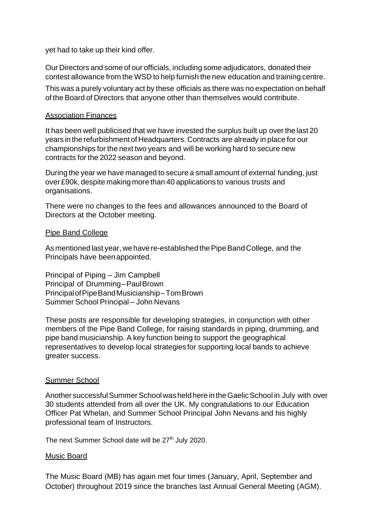yet had to take up their kind offer.

Our Directors and some of our officials, including some adjudicators, donated their contest allowance from the WSD to help furnish the new education and training centre.

This was a purely voluntary act by these officials as there was no expectation on behalf of the Board of Directors that anyone other than themselves would contribute.

#### Association Finances

It has been well publicised that we have invested the surplus built up overthe last 20 years in the refurbishment of Headquarters. Contracts are already in place for our championships for the next two years and will be working hard to secure new contracts for the 2022 season and beyond.

During the year we have managed to secure a small amount of external funding, just over £90k, despite making more than 40 applications to various trusts and organisations.

There were no changes to the fees and allowances announced to the Board of Directors at the October meeting.

#### Pipe Band College

As mentioned last year, we have re-established the Pipe Band College, and the Principals have beenappointed.

Principal of Piping – Jim Campbell Principal of Drumming–PaulBrown PrincipalofPipeBandMusicianship–TomBrown Summer School Principal – John Nevans

These posts are responsible for developing strategies, in conjunction with other members of the Pipe Band College, for raising standards in piping, drumming, and pipe band musicianship. A key function being to support the geographical representatives to develop local strategiesfor supporting local bands to achieve greater success.

## Summer School

Another successful Summer School was held here in the Gaelic School in July with over 30 students attended from all over the UK. My congratulations to our Education Officer Pat Whelan, and Summer School Principal John Nevans and his highly professional team of Instructors.

The next Summer School date will be 27<sup>th</sup> July 2020.

## Music Board

The Music Board (MB) has again met four times (January, April, September and October) throughout 2019 since the branches last Annual General Meeting (AGM).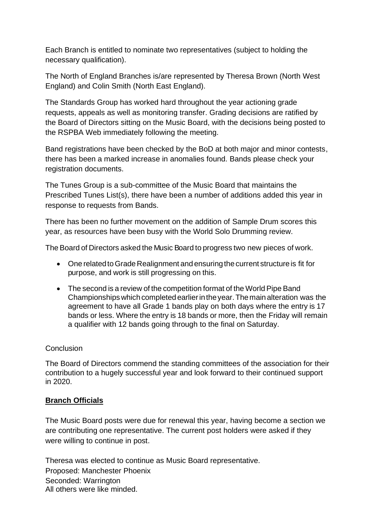Each Branch is entitled to nominate two representatives (subject to holding the necessary qualification).

The North of England Branches is/are represented by Theresa Brown (North West England) and Colin Smith (North East England).

The Standards Group has worked hard throughout the year actioning grade requests, appeals as well as monitoring transfer. Grading decisions are ratified by the Board of Directors sitting on the Music Board, with the decisions being posted to the RSPBA Web immediately following the meeting.

Band registrations have been checked by the BoD at both major and minor contests, there has been a marked increase in anomalies found. Bands please check your registration documents.

The Tunes Group is a sub-committee of the Music Board that maintains the Prescribed Tunes List(s), there have been a number of additions added this year in response to requests from Bands.

There has been no further movement on the addition of Sample Drum scores this year, as resources have been busy with the World Solo Drumming review.

The Board of Directors asked the Music Board to progress two new pieces of work.

- One related to Grade Realignment and ensuring the current structure is fit for purpose, and work is still progressing on this.
- The second is a review of the competition format of the World Pipe Band Championships which completed earlier in the year. The main alteration was the agreement to have all Grade 1 bands play on both days where the entry is 17 bands or less. Where the entry is 18 bands or more, then the Friday will remain a qualifier with 12 bands going through to the final on Saturday.

# **Conclusion**

The Board of Directors commend the standing committees of the association for their contribution to a hugely successful year and look forward to their continued support in 2020.

# **Branch Officials**

The Music Board posts were due for renewal this year, having become a section we are contributing one representative. The current post holders were asked if they were willing to continue in post.

Theresa was elected to continue as Music Board representative. Proposed: Manchester Phoenix Seconded: Warrington All others were like minded.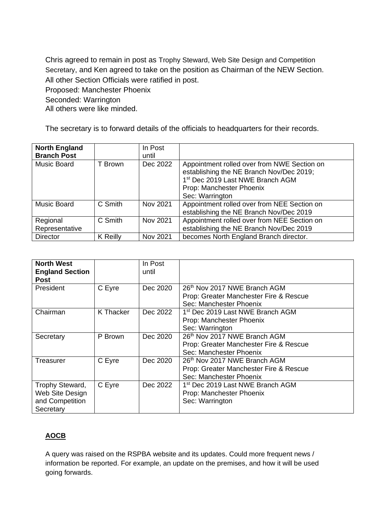Chris agreed to remain in post as Trophy Steward, Web Site Design and Competition Secretary, and Ken agreed to take on the position as Chairman of the NEW Section. All other Section Officials were ratified in post.

Proposed: Manchester Phoenix

Seconded: Warrington

All others were like minded.

The secretary is to forward details of the officials to headquarters for their records.

| <b>North England</b><br><b>Branch Post</b> |                 | In Post<br>until |                                                                                                                                                                                        |
|--------------------------------------------|-----------------|------------------|----------------------------------------------------------------------------------------------------------------------------------------------------------------------------------------|
| Music Board                                | T Brown         | Dec 2022         | Appointment rolled over from NWE Section on<br>establishing the NE Branch Nov/Dec 2019;<br>1 <sup>st</sup> Dec 2019 Last NWE Branch AGM<br>Prop: Manchester Phoenix<br>Sec: Warrington |
| <b>Music Board</b>                         | C Smith         | Nov 2021         | Appointment rolled over from NEE Section on<br>establishing the NE Branch Nov/Dec 2019                                                                                                 |
| Regional<br>Representative                 | C Smith         | Nov 2021         | Appointment rolled over from NEE Section on<br>establishing the NE Branch Nov/Dec 2019                                                                                                 |
| <b>Director</b>                            | <b>K</b> Reilly | Nov 2021         | becomes North England Branch director.                                                                                                                                                 |

| <b>North West</b><br><b>England Section</b><br><b>Post</b>         |           | In Post<br>until |                                                                                                   |
|--------------------------------------------------------------------|-----------|------------------|---------------------------------------------------------------------------------------------------|
| President                                                          | C Eyre    | Dec 2020         | 26th Nov 2017 NWE Branch AGM<br>Prop: Greater Manchester Fire & Rescue<br>Sec: Manchester Phoenix |
| Chairman                                                           | K Thacker | Dec 2022         | 1 <sup>st</sup> Dec 2019 Last NWE Branch AGM<br>Prop: Manchester Phoenix<br>Sec: Warrington       |
| Secretary                                                          | P Brown   | Dec 2020         | 26th Nov 2017 NWE Branch AGM<br>Prop: Greater Manchester Fire & Rescue<br>Sec: Manchester Phoenix |
| Treasurer                                                          | C Eyre    | Dec 2020         | 26th Nov 2017 NWE Branch AGM<br>Prop: Greater Manchester Fire & Rescue<br>Sec: Manchester Phoenix |
| Trophy Steward,<br>Web Site Design<br>and Competition<br>Secretary | C Eyre    | Dec 2022         | 1 <sup>st</sup> Dec 2019 Last NWE Branch AGM<br>Prop: Manchester Phoenix<br>Sec: Warrington       |

# **AOCB**

A query was raised on the RSPBA website and its updates. Could more frequent news / information be reported. For example, an update on the premises, and how it will be used going forwards.